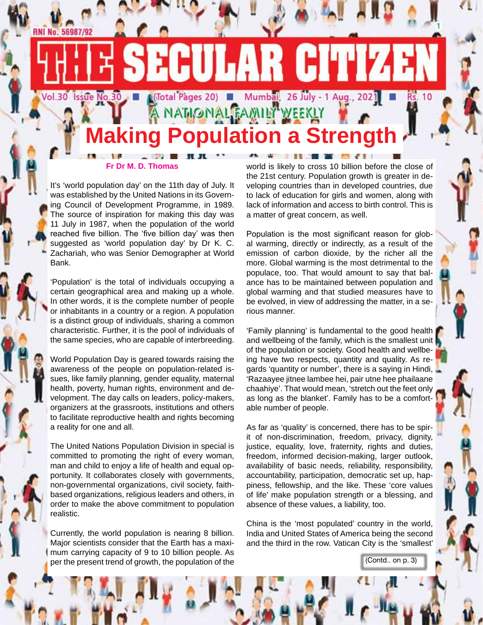# **NAMONAL FAMILY WEEKLY Making Population a Strength**

**1 (Total Pages 20) Mumbat**, 26 July - 1 Aug., 2021

LAR CU

It's 'world population day' on the 11th day of July. It was established by the United Nations in its Governing Council of Development Programme, in 1989. The source of inspiration for making this day was 11 July in 1987, when the population of the world reached five billion. The 'five billion day' was then suggested as 'world population day' by Dr K. C. Zachariah, who was Senior Demographer at World Bank.

**Fr Dr M. D. Thomas**

**RNI No. 56987/92** 

 $Vol.30$ 

**Issue No.30** 

'Population' is the total of individuals occupying a certain geographical area and making up a whole. In other words, it is the complete number of people or inhabitants in a country or a region. A population is a distinct group of individuals, sharing a common characteristic. Further, it is the pool of individuals of the same species, who are capable of interbreeding.

World Population Day is geared towards raising the awareness of the people on population-related issues, like family planning, gender equality, maternal health, poverty, human rights, environment and development. The day calls on leaders, policy-makers, organizers at the grassroots, institutions and others to facilitate reproductive health and rights becoming a reality for one and all.

The United Nations Population Division in special is committed to promoting the right of every woman, man and child to enjoy a life of health and equal opportunity. It collaborates closely with governments, non-governmental organizations, civil society, faithbased organizations, religious leaders and others, in order to make the above commitment to population realistic.

Currently, the world population is nearing 8 billion. Major scientists consider that the Earth has a maximum carrying capacity of 9 to 10 billion people. As per the present trend of growth, the population of the

world is likely to cross 10 billion before the close of the 21st century. Population growth is greater in developing countries than in developed countries, due to lack of education for girls and women, along with lack of information and access to birth control. This is a matter of great concern, as well.

**THE REAL PROPERTY A** 

**Rs. 10** 

Population is the most significant reason for global warming, directly or indirectly, as a result of the emission of carbon dioxide, by the richer all the more. Global warming is the most detrimental to the populace, too. That would amount to say that balance has to be maintained between population and global warming and that studied measures have to be evolved, in view of addressing the matter, in a serious manner.

'Family planning' is fundamental to the good health and wellbeing of the family, which is the smallest unit of the population or society. Good health and wellbeing have two respects, quantity and quality. As regards 'quantity or number', there is a saying in Hindi, 'Razaayee jitnee lambee hei, pair utne hee phailaane chaahiye'. That would mean, 'stretch out the feet only as long as the blanket'. Family has to be a comfortable number of people.

As far as 'quality' is concerned, there has to be spirit of non-discrimination, freedom, privacy, dignity, justice, equality, love, fraternity, rights and duties, freedom, informed decision-making, larger outlook, availability of basic needs, reliability, responsibility, accountability, participation, democratic set up, happiness, fellowship, and the like. These 'core values of life' make population strength or a blessing, and absence of these values, a liability, too.

China is the 'most populated' country in the world, India and United States of America being the second and the third in the row. Vatican City is the 'smallest'

(Contd.. on p. 3)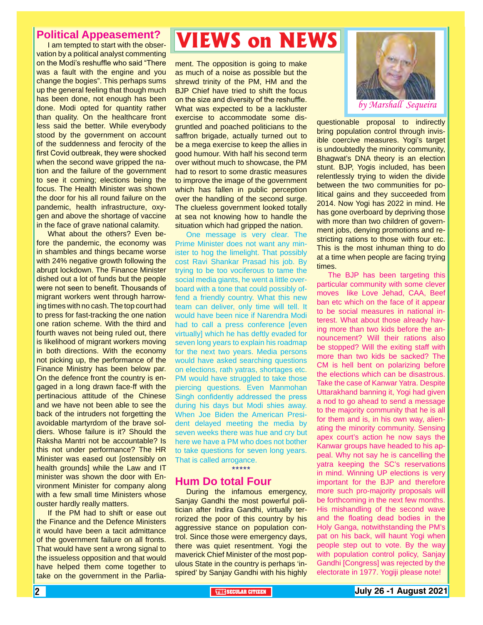#### **Political Appeasement?**

I am tempted to start with the observation by a political analyst commenting on the Modi's reshuffle who said "There was a fault with the engine and you change the bogies". This perhaps sums up the general feeling that though much has been done, not enough has been done. Modi opted for quantity rather than quality. On the healthcare front less said the better. While everybody stood by the government on account of the suddenness and ferocity of the first Covid outbreak, they were shocked when the second wave gripped the nation and the failure of the government to see it coming; elections being the focus. The Health Minister was shown the door for his all round failure on the pandemic, health infrastructure, oxygen and above the shortage of vaccine in the face of grave national calamity.

What about the others? Even before the pandemic, the economy was in shambles and things became worse with 24% negative growth following the abrupt lockdown. The Finance Minister dished out a lot of funds but the people were not seen to benefit. Thousands of migrant workers went through harrowing times with no cash. The top court had to press for fast-tracking the one nation one ration scheme. With the third and fourth waves not being ruled out, there is likelihood of migrant workers moving in both directions. With the economy not picking up, the performance of the Finance Ministry has been below par. On the defence front the country is engaged in a long drawn face-ff with the pertinacious attitude of the Chinese and we have not been able to see the back of the intruders not forgetting the avoidable martyrdom of the brave soldiers. Whose failure is it? Should the Raksha Mantri not be accountable? Is this not under performance? The HR Minister was eased out [ostensibly on health grounds] while the Law and IT minister was shown the door with Environment Minister for company along with a few small time Ministers whose ouster hardly really matters.

If the PM had to shift or ease out the Finance and the Defence Ministers it would have been a tacit admittance of the government failure on all fronts. That would have sent a wrong signal to the issueless opposition and that would have helped them come together to take on the government in the Parlia-

### **VIEWS on NEWS**

ment. The opposition is going to make as much of a noise as possible but the shrewd trinity of the PM, HM and the BJP Chief have tried to shift the focus on the size and diversity of the reshuffle. What was expected to be a lackluster exercise to accommodate some disgruntled and poached politicians to the saffron brigade, actually turned out to be a mega exercise to keep the allies in good humour. With half his second term over without much to showcase, the PM had to resort to some drastic measures to improve the image of the government which has fallen in public perception over the handling of the second surge. The clueless government looked totally at sea not knowing how to handle the situation which had gripped the nation.

One message is very clear. The Prime Minister does not want any minister to hog the limelight. That possibly cost Ravi Shankar Prasad his job. By trying to be too vociferous to tame the social media giants, he went a little overboard with a tone that could possibly offend a friendly country. What this new team can deliver, only time will tell. It would have been nice if Narendra Modi had to call a press conference [even virtually] which he has deftly evaded for seven long years to explain his roadmap for the next two years. Media persons would have asked searching questions on elections, rath yatras, shortages etc. PM would have struggled to take those piercing questions. Even Manmohan Singh confidently addressed the press during his days but Modi shies away. When Joe Biden the American President delayed meeting the media by seven weeks there was hue and cry but here we have a PM who does not bother to take questions for seven long years. That is called arrogance.

\*\*\*\*\*

#### **Hum Do total Four**

During the infamous emergency, Sanjay Gandhi the most powerful politician after Indira Gandhi, virtually terrorized the poor of this country by his aggressive stance on population control. Since those were emergency days, there was quiet resentment. Yogi the maverick Chief Minister of the most populous State in the country is perhaps 'inspired' by Sanjay Gandhi with his highly



questionable proposal to indirectly bring population control through invisible coercive measures. Yogi's target is undoubtedly the minority community, Bhagwat's DNA theory is an election stunt. BJP, Yogis included, has been relentlessly trying to widen the divide between the two communities for political gains and they succeeded from 2014. Now Yogi has 2022 in mind. He has gone overboard by depriving those with more than two children of government jobs, denying promotions and restricting rations to those with four etc. This is the most inhuman thing to do at a time when people are facing trying times.

 electorate in 1977. Yogiji please note! The BJP has been targeting this particular community with some clever moves like Love Jehad, CAA, Beef ban etc which on the face of it appear to be social measures in national interest. What about those already having more than two kids before the announcement? Will their rations also be stopped? Will the exiting staff with more than two kids be sacked? The CM is hell bent on polarizing before the elections which can be disastrous. Take the case of Kanwar Yatra. Despite Uttarakhand banning it, Yogi had given a nod to go ahead to send a message to the majority community that he is all for them and is, in his own way, alienating the minority community. Sensing apex court's action he now says the Kanwar groups have headed to his appeal. Why not say he is cancelling the yatra keeping the SC's reservations in mind. Winning UP elections is very important for the BJP and therefore more such pro-majority proposals will be forthcoming in the next few months. His mishandling of the second wave and the floating dead bodies in the Holy Ganga, notwithstanding the PM's pat on his back, will haunt Yogi when people step out to vote. By the way with population control policy, Sanjay Gandhi [Congress] was rejected by the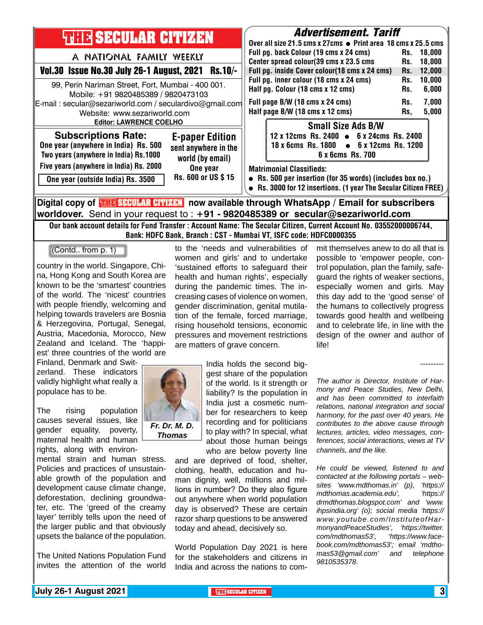| <b>THIR SECULAR CITIZEN</b>                                                                                                                                                                                                                                                                         | <b>Advertisement. Tariff</b><br>Over all size 21.5 cms x 27cms ● Print area 18 cms x 25.5 cms                                                                                                                                                                                                           |  |  |
|-----------------------------------------------------------------------------------------------------------------------------------------------------------------------------------------------------------------------------------------------------------------------------------------------------|---------------------------------------------------------------------------------------------------------------------------------------------------------------------------------------------------------------------------------------------------------------------------------------------------------|--|--|
| A NATIONAL FAMILY WEEKLY<br>Vol.30 Issue No.30 July 26-1 August, 2021 Rs.10/-                                                                                                                                                                                                                       | Full pg. back Colour (19 cms x 24 cms)<br>18,000<br>Rs.<br>Center spread colour(39 cms x 23.5 cms<br>18,000<br>Rs.<br>Full pg. inside Cover colour(18 cms x 24 cms)<br>12,000<br>Rs.                                                                                                                    |  |  |
| 99, Perin Nariman Street, Fort, Mumbai - 400 001.<br>Mobile: +91 9820485389 / 9820473103<br>E-mail: secular@sezariworld.com / seculardivo@gmail.com<br>Website: www.sezariworld.com<br><b>Editor: LAWRENCE COELHO</b>                                                                               | Full pg. inner colour (18 cms x 24 cms)<br>10,000<br>Rs.<br>Half pg. Colour (18 cms x 12 cms)<br>6,000<br>Rs.<br>7,000<br>Full page B/W (18 cms x 24 cms)<br>Rs.<br>Half page B/W (18 cms x 12 cms)<br>5,000<br>Rs.                                                                                     |  |  |
| <b>Subscriptions Rate:</b><br><b>E-paper Edition</b><br>One year (anywhere in India) Rs. 500<br>sent anywhere in the<br>Two years (anywhere in India) Rs.1000<br>world (by email)<br>Five years (anywhere in India) Rs. 2000<br>One year<br>Rs. 600 or US \$15<br>One year (outside India) Rs. 3500 | <b>Small Size Ads B/W</b><br>12 x 12cms Rs. 2400 • 6 x 24cms Rs. 2400<br>18 x 6cms Rs. 1800 • 6 x 12cms Rs. 1200<br>6 x 6cms Rs. 700<br><b>Matrimonial Classifieds:</b><br>• Rs. 500 per insertion (for 35 words) (includes box no.)<br>• Rs. 3000 for 12 insertions. (1 year The Secular Citizen FREE) |  |  |
| Digital copy of <b>THE SECULAR CITIZEN</b> now available through WhatsApp / Email for subscribers                                                                                                                                                                                                   |                                                                                                                                                                                                                                                                                                         |  |  |

**worldover.** Send in your request to : **+91 - 9820485389 or secular@sezariworld.com**

Our bank account details for Fund Transfer : Account Name: The Secular Citizen, Current Account No. 03552000006744, Bank: HDFC Bank, Branch : CST - Mumbai VT, ISFC code: HDFC0000355

(Contd.. from p. 1)

country in the world. Singapore, China, Hong Kong and South Korea are known to be the 'smartest' countries of the world. The 'nicest' countries with people friendly, welcoming and helping towards travelers are Bosnia & Herzegovina, Portugal, Senegal, Austria, Macedonia, Morocco, New Zealand and Iceland. The 'happiest' three countries of the world are

Finland, Denmark and Switzerland. These indicators validly highlight what really a populace has to be.

The rising population causes several issues, like gender equality, poverty, maternal health and human rights, along with environ-

mental strain and human stress. Policies and practices of unsustainable growth of the population and development cause climate change, deforestation, declining groundwater, etc. The 'greed of the creamy layer' terribly tells upon the need of the larger public and that obviously upsets the balance of the population.

The United Nations Population Fund invites the attention of the world to the 'needs and vulnerabilities of women and girls' and to undertake 'sustained efforts to safeguard their health and human rights', especially during the pandemic times. The increasing cases of violence on women, gender discrimination, genital mutilation of the female, forced marriage, rising household tensions, economic pressures and movement restrictions are matters of grave concern.

> India holds the second biggest share of the population of the world. Is it strength or liability? Is the population in India just a cosmetic number for researchers to keep recording and for politicians to play with? In special, what about those human beings who are below poverty line

and are deprived of food, shelter, clothing, health, education and human dignity, well, millions and millions in number? Do they also figure out anywhere when world population day is observed? These are certain razor sharp questions to be answered today and ahead, decisively so.

World Population Day 2021 is here for the stakeholders and citizens in India and across the nations to com-

mit themselves anew to do all that is possible to 'empower people, control population, plan the family, safeguard the rights of weaker sections, especially women and girls. May this day add to the 'good sense' of the humans to collectively progress towards good health and wellbeing and to celebrate life, in line with the design of the owner and author of life!

*The author is Director, Institute of Harmony and Peace Studies, New Delhi, and has been committed to interfaith relations, national integration and social harmony, for the past over 40 years. He contributes to the above cause through lectures, articles, video messages, conferences, social interactions, views at TV channels, and the like.* 

*He could be viewed, listened to and contacted at the following portals – websites 'www.mdthomas.in' (p), 'https:// mdthomas.academia.edu', 'https:// drmdthomas.blogspot.com' and 'www. ihpsindia.org' (o); social media 'https:// www.youtube.com/InstituteofHarmonyandPeaceStudies', 'https://twitter. com/mdthomas53', 'https://www.facebook.com/mdthomas53'; email 'mdthomas53@gmail.com' and telephone 9810535378.*



---------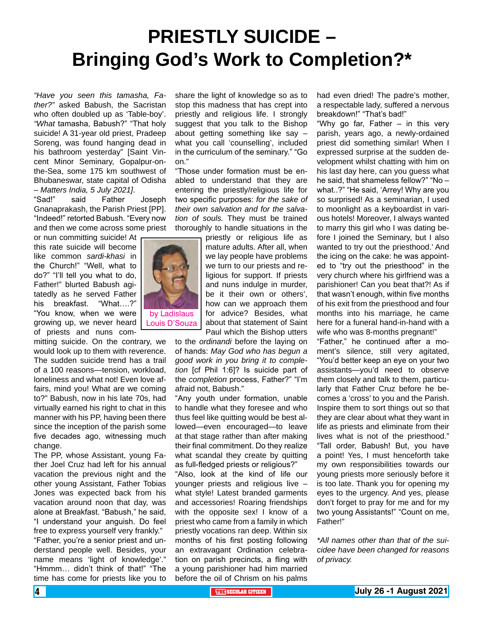## **PRIESTLY SUICIDE – Bringing God's Work to Completion?\***

*"Have you seen this tamasha, Father?"* asked Babush, the Sacristan who often doubled up as 'Table-boy'. *"What* tamasha, Babush?" "That holy suicide! A 31-year old priest, Pradeep Soreng, was found hanging dead in his bathroom yesterday" [Saint Vincent Minor Seminary, Gopalpur-onthe-Sea, some 175 km southwest of Bhubaneswar, state capital of Odisha – *Matters India, 5 July 2021]*.

"Sad!" said Father Joseph Gnanaprakash, the Parish Priest [PP]. "Indeed!" retorted Babush. "Every now and then we come across some priest

or nun committing suicide! At this rate suicide will become like common *sardi-khasi* in the Church!" "Well, what to do?" "I'll tell you what to do, Father!" blurted Babush agitatedly as he served Father his breakfast. "What....?" "You know, when we were growing up, we never heard of priests and nuns com-

mitting suicide. On the contrary, we would look up to them with reverence. The sudden suicide trend has a trail of a 100 reasons—tension, workload, loneliness and what not! Even love affairs, mind you! What are we coming to?" Babush, now in his late 70s, had virtually earned his right to chat in this manner with his PP, having been there since the inception of the parish some five decades ago, witnessing much change.

The PP, whose Assistant, young Father Joel Cruz had left for his annual vacation the previous night and the other young Assistant, Father Tobias Jones was expected back from his vacation around noon that day, was alone at Breakfast. "Babush," he said, "I understand your anguish. Do feel free to express yourself very frankly." "Father, you're a senior priest and understand people well. Besides, your name means 'light of knowledge'." "Hmmm… didn't think of that!" "The time has come for priests like you to

share the light of knowledge so as to stop this madness that has crept into priestly and religious life. I strongly suggest that you talk to the Bishop about getting something like say – what you call 'counselling', included in the curriculum of the seminary." "Go on."

"Those under formation must be enabled to understand that they are entering the priestly/religious life for two specific purposes: *for the sake of their own salvation and for the salvation of souls.* They must be trained thoroughly to handle situations in the

> priestly or religious life as mature adults. After all, when we lay people have problems we turn to our priests and religious for support. If priests and nuns indulge in murder, be it their own or others', how can we approach them for advice? Besides, what about that statement of Saint Paul which the Bishop utters

to the *ordinandi* before the laying on of hands: *May God who has begun a good work in you bring it to completion* [cf Phil 1:6]? Is suicide part of the *completion* process, Father?" "I'm afraid not, Babush."

"Any youth under formation, unable to handle what they foresee and who thus feel like quitting would be best allowed—even encouraged—to leave at that stage rather than after making their final commitment. Do they realize what scandal they create by quitting as full-fledged priests or religious?"

"Also, look at the kind of life our younger priests and religious live – what style! Latest branded garments and accessories! Roaring friendships with the opposite sex! I know of a priest who came from a family in which priestly vocations ran deep. Within six months of his first posting following an extravagant Ordination celebration on parish precincts, a fling with a young parishioner had him married before the oil of Chrism on his palms

had even dried! The padre's mother, a respectable lady, suffered a nervous breakdown!" "That's bad!"

"Why go far, Father – in this very parish, years ago, a newly-ordained priest did something similar! When I expressed surprise at the sudden development whilst chatting with him on his last day here, can you guess what he said, that shameless fellow?" "No – what..?" "He said, 'Arrey! Why are you so surprised! As a seminarian, I used to moonlight as a keyboardist in various hotels! Moreover, I always wanted to marry this girl who I was dating before I joined the Seminary, but I also wanted to try out the priesthood.' And the icing on the cake: he was appointed to "try out the priesthood" in the very church where his girlfriend was a parishioner! Can you beat that?! As if that wasn't enough, within five months of his exit from the priesthood and four months into his marriage, he came here for a funeral hand-in-hand with a wife who was 8-months pregnant!"

"Father," he continued after a moment's silence, still very agitated, "You'd better keep an eye on your two assistants—you'd need to observe them closely and talk to them, particularly that Father Cruz before he becomes a 'cross' to you and the Parish. Inspire them to sort things out so that they are clear about what they want in life as priests and eliminate from their lives what is not of the priesthood." "Tall order, Babush! But, you have a point! Yes, I must henceforth take my own responsibilities towards our young priests more seriously before it is too late. Thank you for opening my eyes to the urgency. And yes, please don't forget to pray for me and for my two young Assistants!" "Count on me, Father!"

*\*All names other than that of the suicidee have been changed for reasons of privacy.*

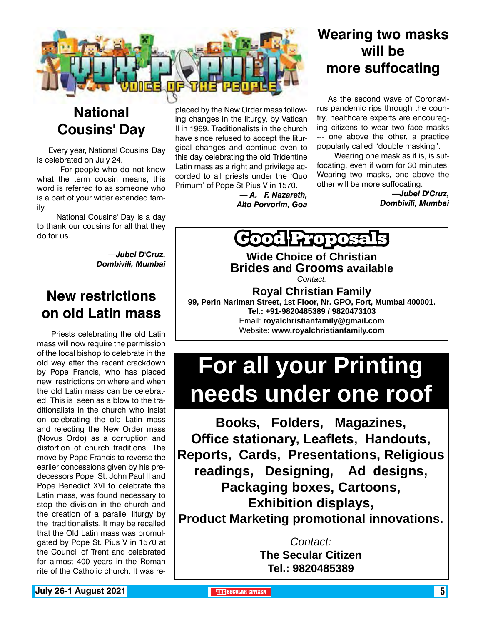

### **National Cousins' Day**

Every year, National Cousins' Day is celebrated on July 24.

 For people who do not know what the term cousin means, this word is referred to as someone who is a part of your wider extended family.

 National Cousins' Day is a day to thank our cousins for all that they do for us.

> *—Jubel D'Cruz, Dombivili, Mumbai*

### **New restrictions on old Latin mass**

 Priests celebrating the old Latin mass will now require the permission of the local bishop to celebrate in the old way after the recent crackdown by Pope Francis, who has placed new restrictions on where and when the old Latin mass can be celebrated. This is seen as a blow to the traditionalists in the church who insist on celebrating the old Latin mass and rejecting the New Order mass (Novus Ordo) as a corruption and distortion of church traditions. The move by Pope Francis to reverse the earlier concessions given by his predecessors Pope St. John Paul II and Pope Benedict XVI to celebrate the Latin mass, was found necessary to stop the division in the church and the creation of a parallel liturgy by the traditionalists. It may be recalled that the Old Latin mass was promulgated by Pope St. Pius V in 1570 at the Council of Trent and celebrated for almost 400 years in the Roman rite of the Catholic church. It was replaced by the New Order mass following changes in the liturgy, by Vatican II in 1969. Traditionalists in the church have since refused to accept the liturgical changes and continue even to this day celebrating the old Tridentine Latin mass as a right and privilege accorded to all priests under the 'Quo Primum' of Pope St Pius V in 1570.

> *— A. F. Nazareth, Alto Porvorim, Goa*

### **Wearing two masks will be more suffocating**

As the second wave of Coronavirus pandemic rips through the country, healthcare experts are encouraging citizens to wear two face masks --- one above the other, a practice popularly called "double masking".

 Wearing one mask as it is, is suffocating, even if worn for 30 minutes. Wearing two masks, one above the other will be more suffocating.

> *—Jubel D'Cruz, Dombivili, Mumbai*

**Groposa** 

**Wide Choice of Christian Brides and Grooms available**

*Contact:*

**Royal Christian Family 99, Perin Nariman Street, 1st Floor, Nr. GPO, Fort, Mumbai 400001. Tel.: +91-9820485389 / 9820473103** Email: **royalchristianfamily@gmail.com** Website: **www.royalchristianfamily.com**

# **For all your Printing needs under one roof**

**Books, Folders, Magazines, Office stationary, Leaflets, Handouts, Reports, Cards, Presentations, Religious readings, Designing, Ad designs, Packaging boxes, Cartoons, Exhibition displays, Product Marketing promotional innovations.**

> *Contact:* **The Secular Citizen Tel.: 9820485389**

**July 26-1 August 2021 The Contract of the SECULAR CITIZEN THE** SECULAR CITIZEN **5**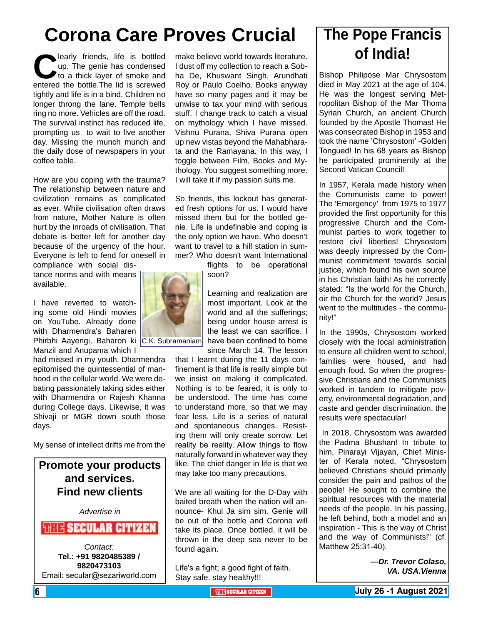## **Corona Care Proves Crucial The Pope Francis**

learly friends, life is bottled up. The genie has condensed to a thick layer of smoke and entered the bottle.The lid is screwed up. The genie has condensed to a thick laver of smoke and tightly and life is in a bind. Children no longer throng the lane. Temple bells ring no more. Vehicles are off the road. The survival instinct has reduced life, prompting us to wait to live another day. Missing the munch munch and the daily dose of newspapers in your coffee table.

How are you coping with the trauma? The relationship between nature and civilization remains as complicated as ever. While civilisation often draws from nature, Mother Nature is often hurt by the inroads of civilisation. That debate is better left for another day because of the urgency of the hour. Everyone is left to fend for oneself in

compliance with social distance norms and with means available.

I have reverted to watching some old Hindi movies on YouTube. Already done with Dharmendra's Baharen Phirbhi Aayengi, Baharon ki C.K. Subramaniam Manzil and Anupama which I

had missed in my youth. Dharmendra epitomised the quintessential of manhood in the cellular world. We were debating passionately taking sides either with Dharmendra or Rajesh Khanna during College days. Likewise, it was Shivaji or MGR down south those days.

My sense of intellect drifts me from the

#### **Promote your products and services. Find new clients**

*Advertise in*

#### *FULLE SECULAR CITIZEN*

*Contact:* **Tel.: +91 9820485389 / 9820473103** Email: secular@sezariworld.com

make believe world towards literature. I dust off my collection to reach a Sobha De, Khuswant Singh, Arundhati Roy or Paulo Coelho. Books anyway have so many pages and it may be unwise to tax your mind with serious stuff. I change track to catch a visual on mythology which I have missed. Vishnu Purana, Shiva Purana open up new vistas beyond the Mahabharata and the Ramayana. In this way, I toggle between Film, Books and Mythology. You suggest something more. I will take it if my passion suits me.

So friends, this lockout has generated fresh options for us. I would have missed them but for the bottled genie. Life is undefinable and coping is the only option we have. Who doesn't want to travel to a hill station in summer? Who doesn't want International

flights to be operational soon?

Learning and realization are most important. Look at the world and all the sufferings; being under house arrest is the least we can sacrifice. I have been confined to home since March 14. The lesson

that I learnt during the 11 days confinement is that life is really simple but we insist on making it complicated. Nothing is to be feared, it is only to be understood. The time has come to understand more, so that we may fear less. Life is a series of natural and spontaneous changes. Resisting them will only create sorrow. Let reality be reality. Allow things to flow naturally forward in whatever way they like. The chief danger in life is that we may take too many precautions.

We are all waiting for the D-Day with baited breath when the nation will announce- Khul Ja sim sim. Genie will be out of the bottle and Corona will take its place. Once bottled, it will be thrown in the deep sea never to be found again.

Life's a fight; a good fight of faith. Stay safe. stay healthy!!!

# **of India!**

Bishop Philipose Mar Chrysostom died in May 2021 at the age of 104. He was the longest serving Metropolitan Bishop of the Mar Thoma Syrian Church, an ancient Church founded by the Apostle Thomas! He was consecrated Bishop in 1953 and took the name 'Chrysostom' -Golden Tongued! In his 68 years as Bishop he participated prominently at the Second Vatican Council!

In 1957, Kerala made history when the Communists came to power! The 'Emergency' from 1975 to 1977 provided the first opportunity for this progressive Church and the Communist parties to work together to restore civil liberties! Chrysostom was deeply impressed by the Communist commitment towards social justice, which found his own source in his Christian faith! As he correctly stated: "Is the world for the Church, oir the Church for the world? Jesus went to the multitudes - the community!"

In the 1990s, Chrysostom worked closely with the local administration to ensure all children went to school, families were housed, and had enough food. So when the progressive Christians and the Communists worked in tandem to mitigate poverty, environmental degradation, and caste and gender discrimination, the results were spectacular!

 In 2018, Chrysostom was awarded the Padma Bhushan! In tribute to him, Pinarayi Vijayan, Chief Minister of Kerala noted, "Chrysostom believed Christians should primarily consider the pain and pathos of the people! He sought to combine the spiritual resources with the material needs of the people. In his passing, he left behind, both a model and an inspiration - This is the way of Christ and the way of Communists!" (cf. Matthew 25:31-40).

> *—Dr. Trevor Colaso, VA. USA.Vienna*

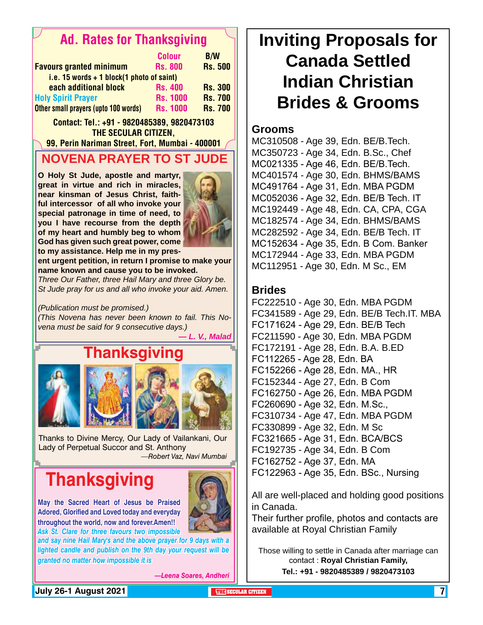### Ad. Rates for Thanksgiving

|                                             | <b>Colour</b>   | <b>B/W</b>     |
|---------------------------------------------|-----------------|----------------|
| <b>Favours granted minimum</b>              | <b>Rs. 800</b>  | <b>Rs. 500</b> |
| i.e. 15 words $+$ 1 block(1 photo of saint) |                 |                |
| each additional block                       | <b>Rs. 400</b>  | <b>Rs. 300</b> |
| <b>Holy Spirit Prayer</b>                   | <b>Rs. 1000</b> | <b>Rs. 700</b> |
| Other small prayers (upto 100 words)        | <b>Rs. 1000</b> | <b>Rs. 700</b> |

Contact: Tel.: +91 - 9820485389, 9820473103 THE SECULAR CITIZEN.

99, Perin Nariman Street, Fort, Mumbai - 400001

### **NOVENA PRAYER TO ST JUDE**

**O Holy St Jude, apostle and martyr, great in virtue and rich in miracles, near kinsman of Jesus Christ, faithful intercessor of all who invoke your special patronage in time of need, to you I have recourse from the depth of my heart and humbly beg to whom God has given such great power, come to my assistance. Help me in my pres-**



**ent urgent petition, in return I promise to make your name known and cause you to be invoked.**

*Three Our Father, three Hail Mary and three Glory be. St Jude pray for us and all who invoke your aid. Amen.* 

*(Publication must be promised.)*

*(This Novena has never been known to fail. This Novena must be said for 9 consecutive days.)*



Thanks to Divine Mercy, Our Lady of Vailankani, Our Lady of Perpetual Succor and St. Anthony *—Robert Vaz, Navi Mumbai*

## **Thanksgiving**

**May the Sacred Heart of Jesus be Praised Adored, Glorified and Loved today and everyday throughout the world, now and forever.Amen!!** *Ask St. Clare for three favours two impossible* 



*—Leena Soares, Andheri*

#### **Grooms**

MC310508 - Age 39, Edn. BE/B.Tech. MC350723 - Age 34, Edn. B.Sc., Chef MC021335 - Age 46, Edn. BE/B.Tech. MC401574 - Age 30, Edn. BHMS/BAMS MC491764 - Age 31, Edn. MBA PGDM MC052036 - Age 32, Edn. BE/B Tech. IT MC192449 - Age 48, Edn. CA, CPA, CGA MC182574 - Age 34, Edn. BHMS/BAMS MC282592 - Age 34, Edn. BE/B Tech. IT MC152634 - Age 35, Edn. B Com. Banker MC172944 - Age 33, Edn. MBA PGDM MC112951 - Age 30, Edn. M Sc., EM

#### **Brides**

FC222510 - Age 30, Edn. MBA PGDM FC341589 - Age 29, Edn. BE/B Tech.IT. MBA FC171624 - Age 29, Edn. BE/B Tech FC211590 - Age 30, Edn. MBA PGDM FC172191 - Age 28, Edn. B.A. B.ED FC112265 - Age 28, Edn. BA FC152266 - Age 28, Edn. MA., HR FC152344 - Age 27, Edn. B Com FC162750 - Age 26, Edn. MBA PGDM FC260690 - Age 32, Edn. M.Sc., FC310734 - Age 47, Edn. MBA PGDM FC330899 - Age 32, Edn. M Sc FC321665 - Age 31, Edn. BCA/BCS FC192735 - Age 34, Edn. B Com FC162752 - Age 37, Edn. MA FC122963 - Age 35, Edn. BSc., Nursing

All are well-placed and holding good positions in Canada.

Their further profile, photos and contacts are available at Royal Christian Family

Those willing to settle in Canada after marriage can contact : **Royal Christian Family, Tel.: +91 - 9820485389 / 9820473103**

**July 26-1 August 2021 The Security of the Secular citizen Theodores Inc. (2001)**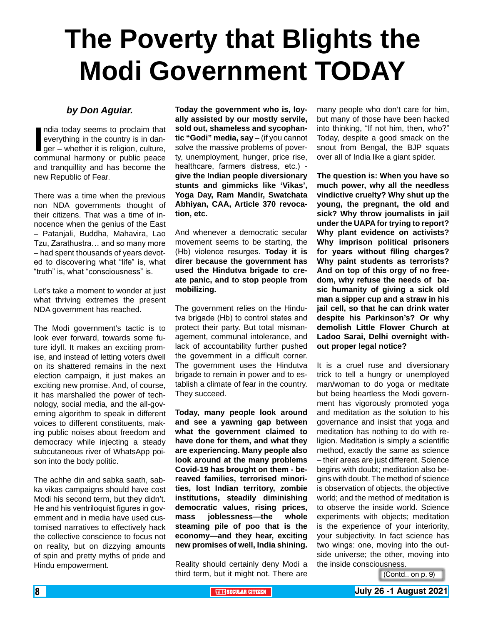# **The Poverty that Blights the Modi Government TODAY**

#### *by Don Aguiar.*

India today seems to proclaim that<br>
everything in the country is in dan-<br>
ger – whether it is religion, culture,<br>
communal harmony or public peace ndia today seems to proclaim that everything in the country is in danger – whether it is religion, culture, and tranquillity and has become the new Republic of Fear.

There was a time when the previous non NDA governments thought of their citizens. That was a time of innocence when the genius of the East – Patanjali, Buddha, Mahavira, Lao Tzu, Zarathustra… and so many more – had spent thousands of years devoted to discovering what "life" is, what "truth" is, what "consciousness" is.

Let's take a moment to wonder at just what thriving extremes the present NDA government has reached.

The Modi government's tactic is to look ever forward, towards some future idyll. It makes an exciting promise, and instead of letting voters dwell on its shattered remains in the next election campaign, it just makes an exciting new promise. And, of course, it has marshalled the power of technology, social media, and the all-governing algorithm to speak in different voices to different constituents, making public noises about freedom and democracy while injecting a steady subcutaneous river of WhatsApp poison into the body politic.

The achhe din and sabka saath, sabka vikas campaigns should have cost Modi his second term, but they didn't. He and his ventriloquist figures in government and in media have used customised narratives to effectively hack the collective conscience to focus not on reality, but on dizzying amounts of spin and pretty myths of pride and Hindu empowerment.

**Today the government who is, loyally assisted by our mostly servile, sold out, shameless and sycophantic "Godi" media, say** – (if you cannot solve the massive problems of poverty, unemployment, hunger, price rise, healthcare, farmers distress, etc.) **give the Indian people diversionary stunts and gimmicks like 'Vikas', Yoga Day, Ram Mandir, Swatchata Abhiyan, CAA, Article 370 revocation, etc.**

And whenever a democratic secular movement seems to be starting, the (Hb) violence resurges. **Today it is direr because the government has used the Hindutva brigade to create panic, and to stop people from mobilizing.**

The government relies on the Hindutva brigade (Hb) to control states and protect their party. But total mismanagement, communal intolerance, and lack of accountability further pushed the government in a difficult corner. The government uses the Hindutva brigade to remain in power and to establish a climate of fear in the country. They succeed.

**Today, many people look around and see a yawning gap between what the government claimed to have done for them, and what they are experiencing. Many people also look around at the many problems Covid-19 has brought on them - bereaved families, terrorised minorities, lost Indian territory, zombie institutions, steadily diminishing democratic values, rising prices, mass joblessness—the whole steaming pile of poo that is the economy—and they hear, exciting new promises of well, India shining.**

Reality should certainly deny Modi a third term, but it might not. There are

many people who don't care for him, but many of those have been hacked into thinking, "If not him, then, who?" Today, despite a good smack on the snout from Bengal, the BJP squats over all of India like a giant spider.

**The question is: When you have so much power, why all the needless vindictive cruelty? Why shut up the young, the pregnant, the old and sick? Why throw journalists in jail under the UAPA for trying to report? Why plant evidence on activists? Why imprison political prisoners for years without filing charges? Why paint students as terrorists? And on top of this orgy of no freedom, why refuse the needs of basic humanity of giving a sick old man a sipper cup and a straw in his jail cell, so that he can drink water despite his Parkinson's? Or why demolish Little Flower Church at Ladoo Sarai, Delhi overnight without proper legal notice?**

It is a cruel ruse and diversionary trick to tell a hungry or unemployed man/woman to do yoga or meditate but being heartless the Modi government has vigorously promoted yoga and meditation as the solution to his governance and insist that yoga and meditation has nothing to do with religion. Meditation is simply a scientific method, exactly the same as science – their areas are just different. Science begins with doubt; meditation also begins with doubt. The method of science is observation of objects, the objective world; and the method of meditation is to observe the inside world. Science experiments with objects; meditation is the experience of your interiority, your subjectivity. In fact science has two wings: one, moving into the outside universe; the other, moving into the inside consciousness.

(Contd.. on p. 9)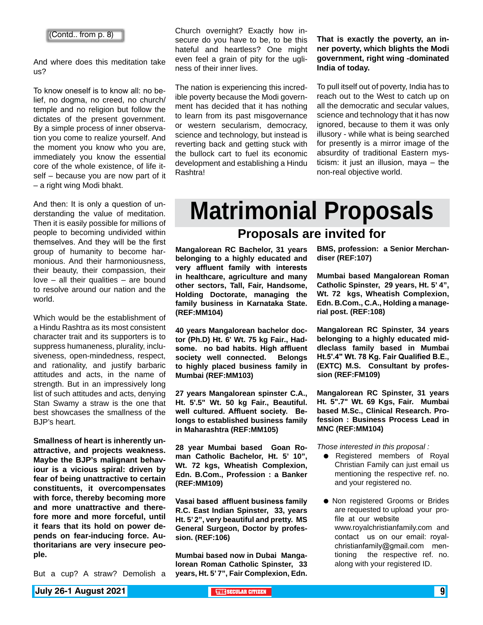And where does this meditation take us?

To know oneself is to know all: no belief, no dogma, no creed, no church/ temple and no religion but follow the dictates of the present government. By a simple process of inner observation you come to realize yourself. And the moment you know who you are, immediately you know the essential core of the whole existence, of life itself – because you are now part of it – a right wing Modi bhakt.

And then: It is only a question of understanding the value of meditation. Then it is easily possible for millions of people to becoming undivided within themselves. And they will be the first group of humanity to become harmonious. And their harmoniousness, their beauty, their compassion, their love  $-$  all their qualities  $-$  are bound to resolve around our nation and the world.

Which would be the establishment of a Hindu Rashtra as its most consistent character trait and its supporters is to suppress humaneness, plurality, inclusiveness, open-mindedness, respect, and rationality, and justify barbaric attitudes and acts, in the name of strength. But in an impressively long list of such attitudes and acts, denying Stan Swamy a straw is the one that best showcases the smallness of the BJP's heart.

**Smallness of heart is inherently unattractive, and projects weakness. Maybe the BJP's malignant behaviour is a vicious spiral: driven by fear of being unattractive to certain constituents, it overcompensates with force, thereby becoming more and more unattractive and therefore more and more forceful, until it fears that its hold on power depends on fear-inducing force. Authoritarians are very insecure people.**

But a cup? A straw? Demolish a

Church overnight? Exactly how insecure do you have to be, to be this hateful and heartless? One might even feel a grain of pity for the ugliness of their inner lives.

The nation is experiencing this incredible poverty because the Modi government has decided that it has nothing to learn from its past misgovernance or western secularism, democracy, science and technology, but instead is reverting back and getting stuck with the bullock cart to fuel its economic development and establishing a Hindu Rashtra!

**That is exactly the poverty, an inner poverty, which blights the Modi government, right wing -dominated India of today.**

To pull itself out of poverty, India has to reach out to the West to catch up on all the democratic and secular values, science and technology that it has now ignored, because to them it was only illusory - while what is being searched for presently is a mirror image of the absurdity of traditional Eastern mysticism: it just an illusion, maya – the non-real objective world.

# **Matrimonial Proposals**

#### **Proposals are invited for**

**Mangalorean RC Bachelor, 31 years belonging to a highly educated and very affluent family with interests in healthcare, agriculture and many other sectors, Tall, Fair, Handsome, Holding Doctorate, managing the family business in Karnataka State. (REF:MM104)**

**40 years Mangalorean bachelor doctor (Ph.D) Ht. 6' Wt. 75 kg Fair., Hadsome. no bad habits. High affluent society well connected. Belongs to highly placed business family in Mumbai (REF:MM103)**

**27 years Mangalorean spinster C.A., Ht. 5'.5" Wt. 50 kg Fair., Beautiful. well cultured. Affluent society. Belongs to established business family in Maharashtra (REF:MM105)**

**28 year Mumbai based Goan Roman Catholic Bachelor, Ht. 5' 10", Wt. 72 kgs, Wheatish Complexion, Edn. B.Com., Profession : a Banker (REF:MM109)**

**Vasai based affluent business family R.C. East Indian Spinster, 33, years Ht. 5' 2", very beautiful and pretty. MS General Surgeon, Doctor by profession. (REF:106)**

**Mumbai based now in Dubai Mangalorean Roman Catholic Spinster, 33 years, Ht. 5' 7", Fair Complexion, Edn.**  **BMS, profession: a Senior Merchandiser (REF:107)**

**Mumbai based Mangalorean Roman Catholic Spinster, 29 years, Ht. 5' 4", Wt. 72 kgs, Wheatish Complexion, Edn. B.Com., C.A., Holding a managerial post. (REF:108)** 

**Mangalorean RC Spinster, 34 years belonging to a highly educated middleclass family based in Mumbai Ht.5'.4" Wt. 78 Kg. Fair Qualified B.E., (EXTC) M.S. Consultant by profession (REF:FM109)**

**Mangalorean RC Spinster, 31 years Ht. 5".7" Wt. 69 Kgs, Fair. Mumbai based M.Sc., Clinical Research. Profession : Business Process Lead in MNC (REF:MM104)**

*Those interested in this proposal :*

- **•** Registered members of Royal Christian Family can just email us mentioning the respective ref. no. and your registered no.
- **Non registered Grooms or Brides** are requested to upload your profile at our website www.royalchristianfamily.com and contact us on our email: royalchristianfamily@gmail.com mentioning the respective ref. no. along with your registered ID.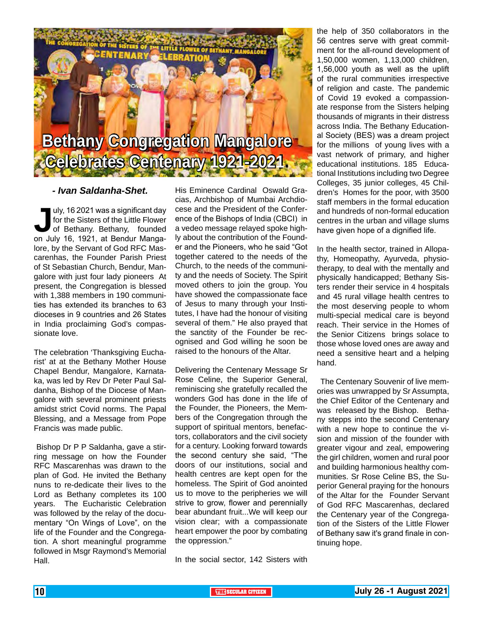

#### *- Ivan Saldanha-Shet.*

Uly, 16 2021 was a significant day<br>for the Sisters of the Little Flower<br>of Bethany. Bethany, founded<br>on July 16, 1921, at Bendur Mangafor the Sisters of the Little Flower of Bethany. Bethany, founded on July 16, 1921, at Bendur Mangalore, by the Servant of God RFC Mascarenhas, the Founder Parish Priest of St Sebastian Church, Bendur, Mangalore with just four lady pioneers At present, the Congregation is blessed with 1,388 members in 190 communities has extended its branches to 63 dioceses in 9 countries and 26 States in India proclaiming God's compassionate love.

The celebration 'Thanksgiving Eucharist' at at the Bethany Mother House Chapel Bendur, Mangalore, Karnataka, was led by Rev Dr Peter Paul Saldanha, Bishop of the Diocese of Mangalore with several prominent priests amidst strict Covid norms. The Papal Blessing, and a Message from Pope Francis was made public.

 Bishop Dr P P Saldanha, gave a stirring message on how the Founder RFC Mascarenhas was drawn to the plan of God. He invited the Bethany nuns to re-dedicate their lives to the Lord as Bethany completes its 100 years. The Eucharistic Celebration was followed by the relay of the documentary "On Wings of Love", on the life of the Founder and the Congregation. A short meaningful programme followed in Msgr Raymond's Memorial Hall.

His Eminence Cardinal Oswald Gracias, Archbishop of Mumbai Archdiocese and the President of the Conference of the Bishops of India (CBCI) in a vedeo message relayed spoke highly about the contribution of the Founder and the Pioneers, who he said "Got together catered to the needs of the Church, to the needs of the community and the needs of Society. The Spirit moved others to join the group. You have showed the compassionate face of Jesus to many through your Institutes, I have had the honour of visiting several of them." He also prayed that the sanctity of the Founder be recognised and God willing he soon be raised to the honours of the Altar.

Delivering the Centenary Message Sr Rose Celine, the Superior General, reminiscing she gratefully recalled the wonders God has done in the life of the Founder, the Pioneers, the Members of the Congregation through the support of spiritual mentors, benefactors, collaborators and the civil society for a century. Looking forward towards the second century she said, "The doors of our institutions, social and health centres are kept open for the homeless. The Spirit of God anointed us to move to the peripheries we will strive to grow, flower and perennially bear abundant fruit...We will keep our vision clear; with a compassionate heart empower the poor by combating the oppression."

In the social sector, 142 Sisters with

the help of 350 collaborators in the 56 centres serve with great commitment for the all-round development of 1,50,000 women, 1,13,000 children, 1,56,000 youth as well as the uplift of the rural communities irrespective of religion and caste. The pandemic of Covid 19 evoked a compassionate response from the Sisters helping thousands of migrants in their distress across India. The Bethany Educational Society (BES) was a dream project for the millions of young lives with a vast network of primary, and higher educational institutions. 185 Educational Institutions including two Degree Colleges, 35 junior colleges, 45 Children's Homes for the poor, with 3500 staff members in the formal education and hundreds of non-formal education centres in the urban and village slums have given hope of a dignified life.

In the health sector, trained in Allopathy, Homeopathy, Ayurveda, physiotherapy, to deal with the mentally and physically handicapped; Bethany Sisters render their service in 4 hospitals and 45 rural village health centres to the most deserving people to whom multi-special medical care is beyond reach. Their service in the Homes of the Senior Citizens brings solace to those whose loved ones are away and need a sensitive heart and a helping hand.

 The Centenary Souvenir of live memories was unwrapped by Sr Assumpta, the Chief Editor of the Centenary and was released by the Bishop. Bethany stepps into the second Centenary with a new hope to continue the vision and mission of the founder with greater vigour and zeal, empowering the girl children, women and rural poor and building harmonious healthy communities. Sr Rose Celine BS, the Superior General praying for the honours of the Altar for the Founder Servant of God RFC Mascarenhas, declared the Centenary year of the Congregation of the Sisters of the Little Flower of Bethany saw it's grand finale in continuing hope.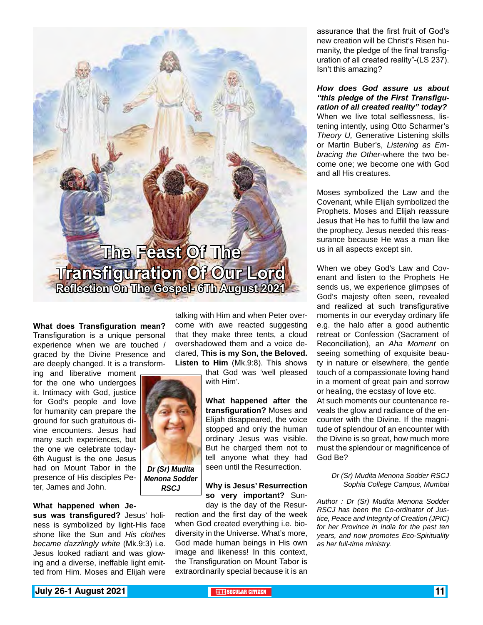

**What does Transfiguration mean?**  Transfiguration is a unique personal experience when we are touched / graced by the Divine Presence and are deeply changed. It is a transform-

ing and liberative moment for the one who undergoes it. Intimacy with God, justice for God's people and love for humanity can prepare the ground for such gratuitous divine encounters. Jesus had many such experiences, but the one we celebrate today-6th August is the one Jesus had on Mount Tabor in the presence of His disciples Peter, James and John.

#### **What happened when Je-**

**sus was transfigured?** Jesus' holiness is symbolized by light-His face shone like the Sun and *His clothes became dazzlingly white* (Mk.9:3) i.e. Jesus looked radiant and was glowing and a diverse, ineffable light emitted from Him. Moses and Elijah were

talking with Him and when Peter overcome with awe reacted suggesting that they make three tents, a cloud overshadowed them and a voice declared, **This is my Son, the Beloved. Listen to Him** (Mk.9:8). This shows

that God was 'well pleased with Him'.

**What happened after the transfiguration?** Moses and Elijah disappeared, the voice stopped and only the human ordinary Jesus was visible. But he charged them not to tell anyone what they had seen until the Resurrection.

#### **Why is Jesus' Resurrection so very important?** Sunday is the day of the Resur-

rection and the first day of the week when God created everything i.e. biodiversity in the Universe. What's more, God made human beings in His own image and likeness! In this context, the Transfiguration on Mount Tabor is extraordinarily special because it is an assurance that the first fruit of God's new creation will be Christ's Risen humanity, the pledge of the final transfiguration of all created reality"-(LS 237). Isn't this amazing?

*How does God assure us about "this pledge of the First Transfiguration of all created reality" today?* When we live total selflessness, listening intently, using Otto Scharmer's *Theory U,* Generative Listening skills or Martin Buber's, *Listening as Embracing the Other*-where the two become one; we become one with God and all His creatures.

Moses symbolized the Law and the Covenant, while Elijah symbolized the Prophets. Moses and Elijah reassure Jesus that He has to fulfill the law and the prophecy. Jesus needed this reassurance because He was a man like us in all aspects except sin.

When we obey God's Law and Covenant and listen to the Prophets He sends us, we experience glimpses of God's majesty often seen, revealed and realized at such transfigurative moments in our everyday ordinary life e.g. the halo after a good authentic retreat or Confession (Sacrament of Reconciliation), an *Aha Moment* on seeing something of exquisite beauty in nature or elsewhere, the gentle touch of a compassionate loving hand in a moment of great pain and sorrow or healing, the ecstasy of love etc.

At such moments our countenance reveals the glow and radiance of the encounter with the Divine. If the magnitude of splendour of an encounter with the Divine is so great, how much more must the splendour or magnificence of God Be?

#### *Dr (Sr) Mudita Menona Sodder RSCJ Sophia College Campus, Mumbai*

*Author : Dr (Sr) Mudita Menona Sodder RSCJ has been the Co-ordinator of Justice, Peace and Integrity of Creation (JPIC) for her Province in India for the past ten years, and now promotes Eco-Spirituality as her full-time ministry.*



*Menona Sodder RSCJ*

**July 26-1 August 2021 THE** SECULAR CITIZEN **11 THE SECULAR CITIZEN**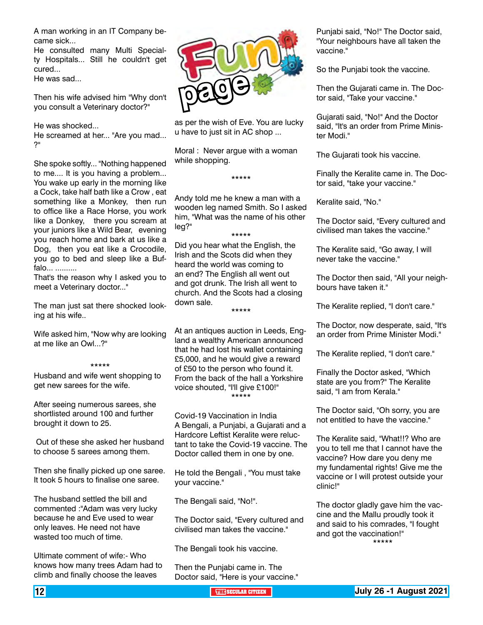A man working in an IT Company became sick...

He consulted many Multi Specialty Hospitals... Still he couldn't get cured...

He was sad...

Then his wife advised him "Why don't you consult a Veterinary doctor?"

He was shocked...

He screamed at her... "Are you mad... ?"

She spoke softly... "Nothing happened to me.... It is you having a problem... You wake up early in the morning like a Cock, take half bath like a Crow , eat something like a Monkey, then run to office like a Race Horse, you work like a Donkey, there you scream at your juniors like a Wild Bear, evening you reach home and bark at us like a Dog, then you eat like a Crocodile, you go to bed and sleep like a Buffalo... ..........

That's the reason why I asked you to meet a Veterinary doctor..."

The man just sat there shocked looking at his wife..

Wife asked him, "Now why are looking at me like an Owl...?"

#### \*\*\*\*\*

Husband and wife went shopping to get new sarees for the wife.

After seeing numerous sarees, she shortlisted around 100 and further brought it down to 25.

 Out of these she asked her husband to choose 5 sarees among them.

Then she finally picked up one saree. It took 5 hours to finalise one saree.

The husband settled the bill and commented :"Adam was very lucky because he and Eve used to wear only leaves. He need not have wasted too much of time.

Ultimate comment of wife:- Who knows how many trees Adam had to climb and finally choose the leaves



as per the wish of Eve. You are lucky u have to just sit in AC shop ...

Moral : Never argue with a woman while shopping.

\*\*\*\*\*

Andy told me he knew a man with a wooden leg named Smith. So I asked him, "What was the name of his other leg?" \*\*\*\*\*

Did you hear what the English, the Irish and the Scots did when they heard the world was coming to an end? The English all went out and got drunk. The Irish all went to church. And the Scots had a closing down sale.

\*\*\*\*\*

At an antiques auction in Leeds, England a wealthy American announced that he had lost his wallet containing £5,000, and he would give a reward of £50 to the person who found it. From the back of the hall a Yorkshire voice shouted, "I'll give £100!" \*\*\*\*\*

Covid-19 Vaccination in India A Bengali, a Punjabi, a Gujarati and a Hardcore Leftist Keralite were reluctant to take the Covid-19 vaccine. The Doctor called them in one by one.

He told the Bengali , "You must take your vaccine."

The Bengali said, "No!".

The Doctor said, "Every cultured and civilised man takes the vaccine."

The Bengali took his vaccine.

Then the Punjabi came in. The Doctor said, "Here is your vaccine." Punjabi said, "No!" The Doctor said, "Your neighbours have all taken the vaccine."

So the Punjabi took the vaccine.

Then the Gujarati came in. The Doctor said, "Take your vaccine."

Gujarati said, "No!" And the Doctor said, "It's an order from Prime Minister Modi."

The Gujarati took his vaccine.

Finally the Keralite came in. The Doctor said, "take your vaccine."

Keralite said, "No."

The Doctor said, "Every cultured and civilised man takes the vaccine."

The Keralite said, "Go away, I will never take the vaccine."

The Doctor then said, "All your neighbours have taken it."

The Keralite replied, "I don't care."

The Doctor, now desperate, said, "It's an order from Prime Minister Modi."

The Keralite replied, "I don't care."

Finally the Doctor asked, "Which state are you from?" The Keralite said, "I am from Kerala."

The Doctor said, "Oh sorry, you are not entitled to have the vaccine."

The Keralite said, "What!!? Who are you to tell me that I cannot have the vaccine? How dare you deny me my fundamental rights! Give me the vaccine or I will protest outside your clinic!"

The doctor gladly gave him the vaccine and the Mallu proudly took it and said to his comrades, "I fought and got the vaccination!" \*\*\*\*\*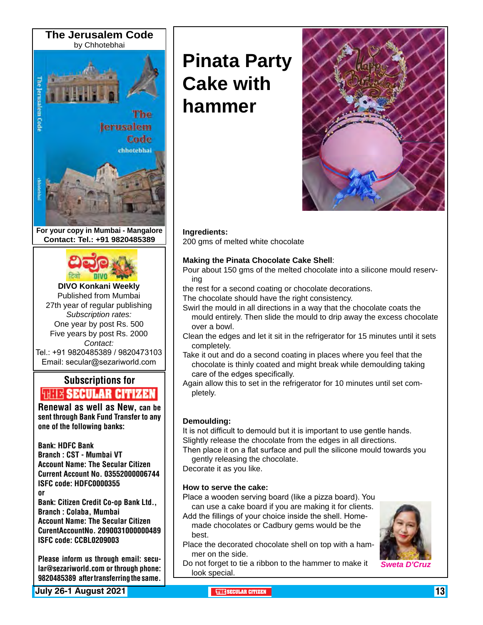

**For your copy in Mumbai - Mangalore Contact: Tel.: +91 9820485389**



#### **DIVO Konkani Weekly** Published from Mumbai 27th year of regular publishing

*Subscription rates:* One year by post Rs. 500 Five years by post Rs. 2000 *Contact:*  Tel.: +91 9820485389 / 9820473103 Email: secular@sezariworld.com

### Subscriptions for **THIT'S SECULAR CITIZEN**<br>Renewal as well as New, can be

sent through Bank Fund Transfer to any one of the following banks:

#### Bank: HDFC Bank

Branch : CST - Mumbai VT Account Name: The Secular Citizen Current Account No. 03552000006744 ISFC code: HDFC0000355 or

Bank: Citizen Credit Co-op Bank Ltd., Branch : Colaba, Mumbai Account Name: The Secular Citizen CurentAccountNo. 2090031000000489 ISFC code: CCBL0209003

Please inform us through email: secular@sezariworld.com or through phone: 9820485389 after transferring the same.

**July 26-1 August 2021 THE SECULAR CITIZEN** 13

# **Pinata Party Cake with hammer**



#### **Ingredients:**

200 gms of melted white chocolate

#### **Making the Pinata Chocolate Cake Shell**:

- Pour about 150 gms of the melted chocolate into a silicone mould reserving
- the rest for a second coating or chocolate decorations.
- The chocolate should have the right consistency.
- Swirl the mould in all directions in a way that the chocolate coats the mould entirely. Then slide the mould to drip away the excess chocolate over a bowl.
- Clean the edges and let it sit in the refrigerator for 15 minutes until it sets completely.
- Take it out and do a second coating in places where you feel that the chocolate is thinly coated and might break while demoulding taking care of the edges specifically.
- Again allow this to set in the refrigerator for 10 minutes until set completely.

#### **Demoulding:**

It is not difficult to demould but it is important to use gentle hands. Slightly release the chocolate from the edges in all directions.

Then place it on a flat surface and pull the silicone mould towards you gently releasing the chocolate.

Decorate it as you like.

#### **How to serve the cake:**

Place a wooden serving board (like a pizza board). You can use a cake board if you are making it for clients.

- Add the fillings of your choice inside the shell. Homemade chocolates or Cadbury gems would be the best.
- Place the decorated chocolate shell on top with a hammer on the side.
- Do not forget to tie a ribbon to the hammer to make it look special.

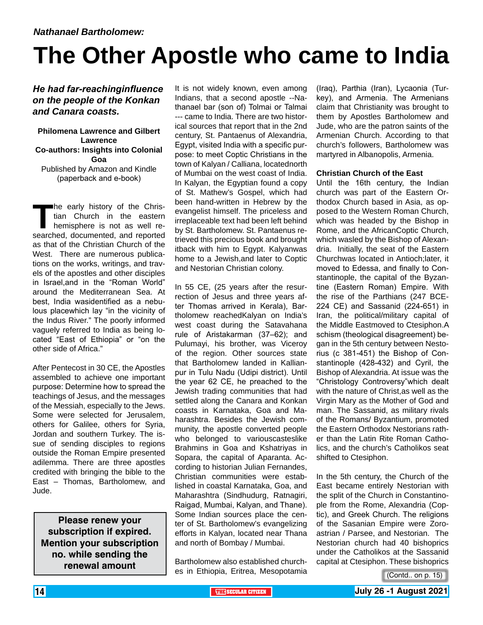# **The Other Apostle who came to India**

#### *He had far-reachinginfluence on the people of the Konkan and Canara coasts.*

#### **Philomena Lawrence and Gilbert Lawrence Co-authors: Insights into Colonial Goa** Published by Amazon and Kindle (paperback and e-book)

The early history of the Christian Church in the eastern<br>hemisphere is not as well re-<br>searched, documented, and reported tian Church in the eastern hemisphere is not as well researched, documented, and reported as that of the Christian Church of the West. There are numerous publications on the works, writings, and travels of the apostles and other disciples in Israel,and in the "Roman World" around the Mediterranean Sea. At best, India wasidentified as a nebulous placewhich lay "in the vicinity of the Indus River." The poorly informed vaguely referred to India as being located "East of Ethiopia" or "on the other side of Africa."

After Pentecost in 30 CE, the Apostles assembled to achieve one important purpose: Determine how to spread the teachings of Jesus, and the messages of the Messiah, especially to the Jews. Some were selected for Jerusalem, others for Galilee, others for Syria, Jordan and southern Turkey. The issue of sending disciples to regions outside the Roman Empire presented adilemma. There are three apostles credited with bringing the bible to the East – Thomas, Bartholomew, and Jude.

**Please renew your subscription if expired. Mention your subscription no. while sending the renewal amount**

It is not widely known, even among Indians, that a second apostle --Nathanael bar (son of) Tolmai or Talmai --- came to India. There are two historical sources that report that in the 2nd century, St. Pantaenus of Alexandria, Egypt, visited India with a specific purpose: to meet Coptic Christians in the town of Kalyan / Calliana, locatednorth of Mumbai on the west coast of India. In Kalyan, the Egyptian found a copy of St. Mathew's Gospel, which had been hand-written in Hebrew by the evangelist himself. The priceless and irreplaceable text had been left behind by St. Bartholomew. St. Pantaenus retrieved this precious book and brought itback with him to Egypt. Kalyanwas home to a Jewish,and later to Coptic and Nestorian Christian colony.

In 55 CE, (25 years after the resurrection of Jesus and three years after Thomas arrived in Kerala), Bartholomew reachedKalyan on India's west coast during the Satavahana rule of Aristakarman (37–62); and Pulumayi, his brother, was Viceroy of the region. Other sources state that Bartholomew landed in Kallianpur in Tulu Nadu (Udipi district). Until the year 62 CE, he preached to the Jewish trading communities that had settled along the Canara and Konkan coasts in Karnataka, Goa and Maharashtra. Besides the Jewish community, the apostle converted people who belonged to variouscasteslike Brahmins in Goa and Kshatriyas in Sopara, the capital of Aparanta. According to historian Julian Fernandes, Christian communities were established in coastal Karnataka, Goa, and Maharashtra (Sindhudurg, Ratnagiri, Raigad, Mumbai, Kalyan, and Thane). Some Indian sources place the center of St. Bartholomew's evangelizing efforts in Kalyan, located near Thana and north of Bombay / Mumbai.

Bartholomew also established churches in Ethiopia, Eritrea, Mesopotamia (Iraq), Parthia (Iran), Lycaonia (Turkey), and Armenia. The Armenians claim that Christianity was brought to them by Apostles Bartholomew and Jude, who are the patron saints of the Armenian Church. According to that church's followers, Bartholomew was martyred in Albanopolis, Armenia.

#### **Christian Church of the East**

Until the 16th century, the Indian church was part of the Eastern Orthodox Church based in Asia, as opposed to the Western Roman Church, which was headed by the Bishop in Rome, and the AfricanCoptic Church, which wasled by the Bishop of Alexandria. Initially, the seat of the Eastern Churchwas located in Antioch;later, it moved to Edessa, and finally to Constantinople, the capital of the Byzantine (Eastern Roman) Empire. With the rise of the Parthians (247 BCE-224 CE) and Sassanid (224-651) in Iran, the political/military capital of the Middle Eastmoved to Ctesiphon.A schism (theological disagreement) began in the 5th century between Nestorius (c 381-451) the Bishop of Constantinople (428-432) and Cyril, the Bishop of Alexandria. At issue was the "Christology Controversy"which dealt with the nature of Christ,as well as the Virgin Mary as the Mother of God and man. The Sassanid, as military rivals of the Romans/ Byzantium, promoted the Eastern Orthodox Nestorians rather than the Latin Rite Roman Catholics, and the church's Catholikos seat shifted to Ctesiphon.

In the 5th century, the Church of the East became entirely Nestorian with the split of the Church in Constantinople from the Rome, Alexandria (Coptic), and Greek Church. The religions of the Sasanian Empire were Zoroastrian / Parsee, and Nestorian. The Nestorian church had 40 bishoprics under the Catholikos at the Sassanid capital at Ctesiphon. These bishoprics

<sup>(</sup>Contd.. on p. 15)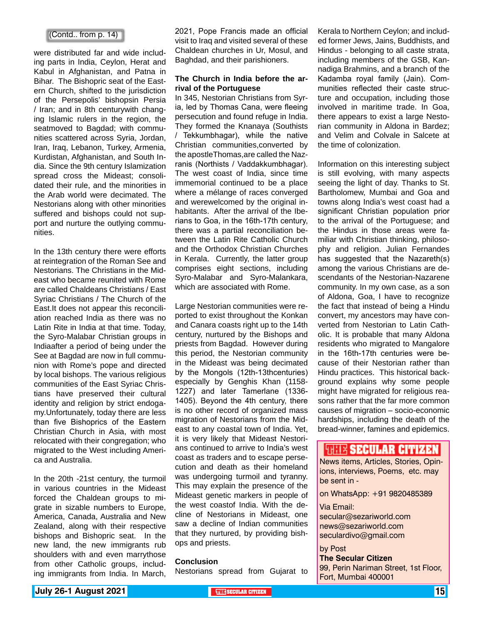#### (Contd.. from p. 14)

were distributed far and wide including parts in India, Ceylon, Herat and Kabul in Afghanistan, and Patna in Bihar. The Bishopric seat of the Eastern Church, shifted to the jurisdiction of the Persepolis' bishopsin Persia / Iran; and in 8th centurywith changing Islamic rulers in the region, the seatmoved to Bagdad; with communities scattered across Syria, Jordan, Iran, Iraq, Lebanon, Turkey, Armenia, Kurdistan, Afghanistan, and South India. Since the 9th century Islamization spread cross the Mideast; consolidated their rule, and the minorities in the Arab world were decimated. The Nestorians along with other minorities suffered and bishops could not support and nurture the outlying communities.

In the 13th century there were efforts at reintegration of the Roman See and Nestorians. The Christians in the Mideast who became reunited with Rome are called Chaldeans Christians / East Syriac Christians / The Church of the East.It does not appear this reconciliation reached India as there was no Latin Rite in India at that time. Today, the Syro-Malabar Christian groups in Indiaafter a period of being under the See at Bagdad are now in full communion with Rome's pope and directed by local bishops. The various religious communities of the East Syriac Christians have preserved their cultural identity and religion by strict endogamy.Unfortunately, today there are less than five Bishoprics of the Eastern Christian Church in Asia, with most relocated with their congregation; who migrated to the West including America and Australia.

In the 20th -21st century, the turmoil in various countries in the Mideast forced the Chaldean groups to migrate in sizable numbers to Europe, America, Canada, Australia and New Zealand, along with their respective bishops and Bishopric seat. In the new land, the new immigrants rub shoulders with and even marrythose from other Catholic groups, including immigrants from India. In March,

2021, Pope Francis made an official visit to Iraq and visited several of these Chaldean churches in Ur, Mosul, and Baghdad, and their parishioners.

#### **The Church in India before the arrival of the Portuguese**

In 345, Nestorian Christians from Syria, led by Thomas Cana, were fleeing persecution and found refuge in India. They formed the Knanaya (Southists / Tekkumbhagar), while the native Christian communities,converted by the apostleThomas,are called the Nazranis (Northists / Vaddakkumbhagar). The west coast of India, since time immemorial continued to be a place where a mélange of races converged and werewelcomed by the original inhabitants. After the arrival of the Iberians to Goa, in the 16th-17th century, there was a partial reconciliation between the Latin Rite Catholic Church and the Orthodox Christian Churches in Kerala. Currently, the latter group comprises eight sections, including Syro-Malabar and Syro-Malankara, which are associated with Rome.

Large Nestorian communities were reported to exist throughout the Konkan and Canara coasts right up to the 14th century, nurtured by the Bishops and priests from Bagdad. However during this period, the Nestorian community in the Mideast was being decimated by the Mongols (12th-13thcenturies) especially by Genghis Khan (1158- 1227) and later Tamerlane (1336- 1405). Beyond the 4th century, there is no other record of organized mass migration of Nestorians from the Mideast to any coastal town of India. Yet, it is very likely that Mideast Nestorians continued to arrive to India's west coast as traders and to escape persecution and death as their homeland was undergoing turmoil and tyranny. This may explain the presence of the Mideast genetic markers in people of the west coastof India. With the decline of Nestorians in Mideast, one saw a decline of Indian communities that they nurtured, by providing bishops and priests.

#### **Conclusion**

Nestorians spread from Gujarat to

Kerala to Northern Ceylon; and included former Jews, Jains, Buddhists, and Hindus - belonging to all caste strata, including members of the GSB, Kannadiga Brahmins, and a branch of the Kadamba royal family (Jain). Communities reflected their caste structure and occupation, including those involved in maritime trade. In Goa, there appears to exist a large Nestorian community in Aldona in Bardez; and Velim and Colvale in Salcete at the time of colonization.

Information on this interesting subject is still evolving, with many aspects seeing the light of day. Thanks to St. Bartholomew, Mumbai and Goa and towns along India's west coast had a significant Christian population prior to the arrival of the Portuguese; and the Hindus in those areas were familiar with Christian thinking, philosophy and religion. Julian Fernandes has suggested that the Nazareth(s) among the various Christians are descendants of the Nestorian-Nazarene community. In my own case, as a son of Aldona, Goa, I have to recognize the fact that instead of being a Hindu convert, my ancestors may have converted from Nestorian to Latin Catholic. It is probable that many Aldona residents who migrated to Mangalore in the 16th-17th centuries were because of their Nestorian rather than Hindu practices. This historical background explains why some people might have migrated for religious reasons rather that the far more common causes of migration – socio-economic hardships, including the death of the bread-winner, famines and epidemics.

#### **WELL'S SECULAR CITIZEN**

News items, Articles, Stories, Opinions, interviews, Poems, etc. may be sent in -

on WhatsApp: +91 9820485389

Via Email: secular@sezariworld.com news@sezariworld.com seculardivo@gmail.com

by Post **The Secular Citizen** 99, Perin Nariman Street, 1st Floor, Fort, Mumbai 400001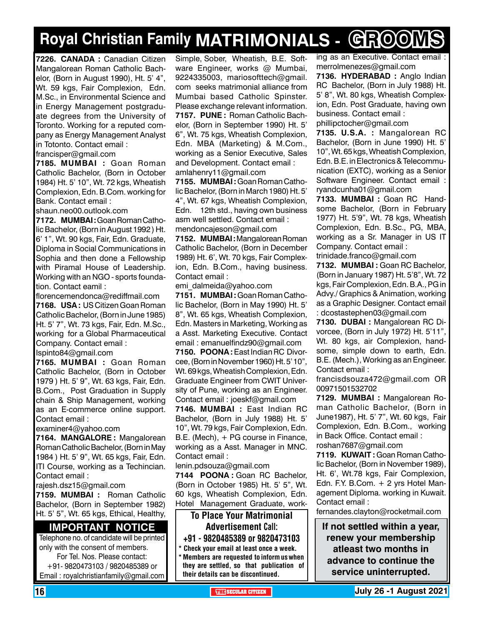## **Royal Christian Family MATRIMONIALS - GROOMS**

**7226. CANADA :** Canadian Citizen Mangalorean Roman Catholic Bachelor, (Born in August 1990), Ht. 5' 4", Wt. 59 kgs, Fair Complexion, Edn. M.Sc., in Environmental Science and in Energy Management postgraduate degrees from the University of Toronto. Working for a reputed company as Energy Management Analyst in Totonto. Contact email :

francisper@gmail.com

**7185. MUMBAI :** Goan Roman Catholic Bachelor, (Born in October 1984) Ht. 5' 10", Wt. 72 kgs, Wheatish Complexion, Edn. B.Com. working for Bank. Contact email :

shaun.neo00.outlook.com

**7172. MUMBAI :** Goan Roman Catholic Bachelor, (Born in August 1992 ) Ht. 6' 1", Wt. 90 kgs, Fair, Edn. Graduate, Diploma in Social Communications in Sophia and then done a Fellowship with Piramal House of Leadership. Working with an NGO - sports foundation. Contact eamil :

florencemendonca@rediffmail.com **7168. USA :** US Citizen Goan Roman Catholic Bachelor, (Born in June 1985) Ht. 5' 7", Wt. 73 kgs, Fair, Edn. M.Sc., working for a Global Pharmaceutical Company. Contact email :

Ispinto84@gmail.com

**7165. MUMBAI :** Goan Roman Catholic Bachelor, (Born in October 1979 ) Ht. 5' 9", Wt. 63 kgs, Fair, Edn. B.Com., Post Graduation in Supply chain & Ship Management, working as an E-commerce online support. Contact email :

examiner4@yahoo.com

**7164. MANGALORE :** Mangalorean Roman Catholic Bachelor, (Born in May 1984 ) Ht. 5' 9", Wt. 65 kgs, Fair, Edn. ITI Course, working as a Techincian. Contact email :

rajesh.dsz15@gmail.com

**7159. MUMBAI :** Roman Catholic Bachelor, (Born in September 1982) Ht. 5' 5", Wt. 65 kgs, Ethical, Healthy,

#### **Important Notice**

Telephone no. of candidate will be printed only with the consent of members. For Tel. Nos. Please contact: +91- 9820473103 / 9820485389 or

Email : royalchristianfamily@gmail.com

Simple, Sober, Wheatish, B.E. Software Engineer, works @ Mumbai, 9224335003, mariosofttech@gmail. com seeks matrimonial alliance from Mumbai based Catholic Spinster. Please exchange relevant information. **7157. PUNE :** Roman Catholic Bachelor, (Born in September 1990) Ht. 5' 6", Wt. 75 kgs, Wheatish Complexion, Edn. MBA (Marketing) & M.Com., working as a Senior Executive, Sales and Development. Contact email : amlahenry11@gmail.com

**7155. MUMBAI :** Goan Roman Catholic Bachelor, (Born in March 1980) Ht. 5' 4", Wt. 67 kgs, Wheatish Complexion, Edn. 12th std., having own business asm well settled. Contact email : mendoncajeson@gmail.com

**7152. MUMBAI :** Mangalorean Roman Catholic Bachelor, (Born in December 1989) Ht. 6', Wt. 70 kgs, Fair Complexion, Edn. B.Com., having business. Contact email :

emi\_dalmeida@yahoo.com

**7151. MUMBAI :** Goan Roman Catholic Bachelor, (Born in May 1990) Ht. 5' 8", Wt. 65 kgs, Wheatish Complexion, Edn. Masters in Marketing, Working as a Asst. Marketing Executive. Contact email : emanuelfindz90@gmail.com

7150. POONA: East Indian RC Divorcee, (Born in November 1960) Ht. 5' 10", Wt. 69 kgs, Wheatish Complexion, Edn. Graduate Engineer from CWIT University of Pune, working as an Engineer. Contact email : joeskf@gmail.com

**7146. MUMBAI :** East Indian RC Bachelor, (Born in July 1988) Ht. 5' 10", Wt. 79 kgs, Fair Complexion, Edn. B.E. (Mech), + PG course in Finance, working as a Asst. Manager in MNC. Contact email :

lenin.pdsouza@gmail.com

**7144 POONA :** Goan RC Bachelor, (Born in October 1985) Ht. 5' 5", Wt. 60 kgs, Wheatish Complexion, Edn. Hotel Management Graduate, work-

To Place Your Matrimonial Advertisement Call: +91 - 9820485389 or 9820473103 \* Check your email at least once a week.

\* Members are requested to inform us when they are settled, so that publication of their details can be discontinued.

ing as an Executive. Contact email : merrolmenezes@gmail.com **7136. HYDERABAD :** Anglo Indian

RC Bachelor, (Born in July 1988) Ht. 5' 8", Wt. 80 kgs, Wheatish Complexion, Edn. Post Graduate, having own business. Contact email : phillipctocher@gmail.com

**7135. U.S.A. :** Mangalorean RC Bachelor, (Born in June 1990) Ht. 5' 10", Wt. 65 kgs, Wheatish Complexion, Edn. B.E. in Electronics & Telecommunication (EXTC), working as a Senior Software Engineer. Contact email : ryandcunha01@gmail.com

**7133. MUMBAI :** Goan RC Handsome Bachelor, (Born in February 1977) Ht. 5'9", Wt. 78 kgs, Wheatish Complexion, Edn. B.Sc., PG, MBA, working as a Sr. Manager in US IT Company. Contact email :

trinidade.franco@gmail.com

**7132. MUMBAI :** Goan RC Bachelor, (Born in January 1987) Ht. 5'8", Wt. 72 kgs, Fair Complexion, Edn. B.A., PG in Advy./ Graphics & Animation, working as a Graphic Designer. Contact email : dcostastephen03@gmail.com

**7130. DUBAI :** Mangalorean RC Divorcee, (Born in July 1972) Ht. 5'11", Wt. 80 kgs, air Complexion, handsome, simple down to earth, Edn. B.E. (Mech.), Working as an Engineer. Contact email :

francisdsouza472@gmail.com OR 00971501532702

**7129. MUMBAI :** Mangalorean Roman Catholic Bachelor, (Born in June1987), Ht. 5' 7", Wt. 60 kgs, Fair Complexion, Edn. B.Com., working in Back Office. Contact email : roshan7687@gmail.com

**7119. KUWAIT :** Goan Roman Catholic Bachelor, (Born in November 1989), Ht. 6', Wt.78 kgs, Fair Complexion, Edn. F.Y. B.Com. + 2 yrs Hotel Management Diploma. working in Kuwait. Contact email :

fernandes.clayton@rocketmail.com

**If not settled within a year, renew your membership atleast two months in advance to continue the service uninterrupted.**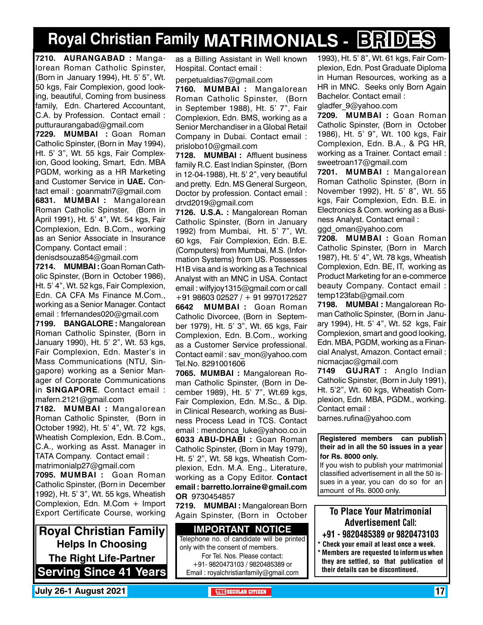## **Royal Christian Family MATRIMONIALS - BRIDES**

**7210. AURANGABAD :** Mangalorean Roman Catholic Spinster, (Born in January 1994), Ht. 5' 5", Wt. 50 kgs, Fair Complexion, good looking, beautiful, Coming from business family, Edn. Chartered Accountant, C.A. by Profession. Contact email : putturaurangabad@gmail.com

**7229. MUMBAI :** Goan Roman Catholic Spinster, (Born in May 1994), Ht. 5' 3", Wt. 55 kgs, Fair Complexion, Good looking, Smart, Edn. MBA PGDM, working as a HR Marketing and Customer Service in **UAE.** Contact email : goanmatri7@gmail.com

**6831. MUMBAI :** Mangalorean Roman Catholic Spinster, (Born in April 1991), Ht. 5' 4", Wt. 54 kgs, Fair Complexion, Edn. B.Com., working as an Senior Associate in Insurance Company. Contact email :

denisdsouza854@gmail.com

**7214. MUMBAI :** Goan Roman Catholic Spinster, (Born in October 1986), Ht. 5' 4", Wt. 52 kgs, Fair Complexion, Edn. CA CFA Ms Finance M.Com., working as a Senior Manager. Contact email : frfernandes020@gmail.com

**7199. BANGALORE :** Mangalorean Roman Catholic Spinster, (Born in January 1990), Ht. 5' 2", Wt. 53 kgs, Fair Complexion, Edn. Master's in Mass Communications (NTU, Singapore) working as a Senior Manager of Corporate Communications in **SINGAPORE**. Contact email : mafern.2121@gmail.com

**7182. MUMBAI :** Mangalorean Roman Catholic Spinster, (Born in October 1992), Ht. 5' 4", Wt. 72 kgs, Wheatish Complexion, Edn. B.Com., C.A., working as Asst. Manager in TATA Company. Contact email : matrimonialp27@gmail.com

**7095. MUMBAI :** Goan Roman Catholic Spinster, (Born in December 1992), Ht. 5' 3", Wt. 55 kgs, Wheatish Complexion, Edn. M.Com + Import Export Certificate Course, working

**Royal Christian Family Helps In Choosing The Right Life-Partner Serving Since 41 Years** as a Billing Assistant in Well known Hospital. Contact email :

perpetualdias7@gmail.com

**7160. MUMBAI :** Mangalorean Roman Catholic Spinster, (Born in September 1988), Ht. 5' 7", Fair Complexion, Edn. BMS, working as a Senior Merchandiser in a Global Retail Company in Dubai. Contact email : prislobo10@gmail.com

**7128. MUMBAI :** Affluent business family R.C. East Indian Spinster, (Born in 12-04-1988), Ht. 5' 2", very beautiful and pretty. Edn. MS General Surgeon, Doctor by profession. Contact email : drvd2019@gmail.com

**7126. U.S.A. :** Mangalorean Roman Catholic Spinster, (Born in January 1992) from Mumbai, Ht. 5' 7", Wt. 60 kgs, Fair Complexion, Edn. B.E. (Computers) from Mumbai, M.S. (Information Systems) from US. Possesses H1B visa and is working as a Technical Analyst with an MNC in USA. Contact email : wilfyjoy1315@gmail.com or call +91 98603 02527 / + 91 9970172527 **6642 MUMBAI :** Goan Roman Catholic Divorcee, (Born in September 1979), Ht. 5' 3", Wt. 65 kgs, Fair Complexion, Edn. B.Com., working as a Customer Service professional. Contact eamil : sav\_mon@yahoo.com Tel.No. 8291001606

**7065. MUMBAI :** Mangalorean Roman Catholic Spinster, (Born in December 1989), Ht. 5' 7", Wt.69 kgs, Fair Complexion, Edn. M.Sc., & Dip. in Clinical Research, working as Business Process Lead in TCS. Contact email : mendonca luke@yahoo.co.in **6033 ABU-DHABI :** Goan Roman Catholic Spinster, (Born in May 1979), Ht. 5' 2", Wt. 58 kgs, Wheatish Complexion, Edn. M.A. Eng., Literature, working as a Copy Editor. Contact email : barretto.lorraine@gmail.com OR 9730454857

**7219. MUMBAI :** Mangalorean Born Again Spinster, (Born in October

**Important Notice** Telephone no. of candidate will be printed only with the consent of members. For Tel. Nos. Please contact: +91- 9820473103 / 9820485389 or Email : royalchristianfamily@gmail.com

1993), Ht. 5' 8", Wt. 61 kgs, Fair Complexion, Edn. Post Graduate Diploma in Human Resources, working as a HR in MNC. Seeks only Born Again Bachelor. Contact email : gladfer\_9@yahoo.com

**7209. MUMBAI :** Goan Roman Catholic Spinster, (Born in October 1986), Ht. 5' 9", Wt. 100 kgs, Fair Complexion, Edn. B.A., & PG HR, working as a Trainer. Contact email : sweetroan17@gmail.com

**7201. MUMBAI :** Mangalorean Roman Catholic Spinster, (Born in November 1992), Ht. 5' 8", Wt. 55 kgs, Fair Complexion, Edn. B.E. in Electronics & Com. working as a Business Analyst. Contact email :

ggd\_oman@yahoo.com

**7208. MUMBAI :** Goan Roman Catholic Spinster, (Born in March 1987), Ht. 5' 4", Wt. 78 kgs, Wheatish Complexion, Edn. BE, IT, working as Product Marketing for an e-commerce beauty Company. Contact email : temp123fab@gmail.com

**7198. MUMBAI :** Mangalorean Roman Catholic Spinster, (Born in January 1994), Ht. 5' 4", Wt. 52 kgs, Fair Complexion, smart and good looking, Edn. MBA, PGDM, working as a Financial Analyst, Amazon. Contact email : nicmacjac@gmail.com

**7149 GUJRAT :** Anglo Indian Catholic Spinster, (Born in July 1991), Ht. 5'2", Wt. 60 kgs, Wheatish Complexion, Edn. MBA, PGDM., working. Contact email :

barnes.rufina@yahoo.com

**Registered members can publish their ad in all the 50 issues in a year for Rs. 8000 only.**

If you wish to publish your matrimonial classified advertisement in all the 50 issues in a year, you can do so for an amount of Rs. 8000 only.

#### To Place Your Matrimonial Advertisement Call:

- +91 9820485389 or 9820473103
- Check your email at least once a week. \* Members are requested to inform us when they are settled, so that publication of their details can be discontinued.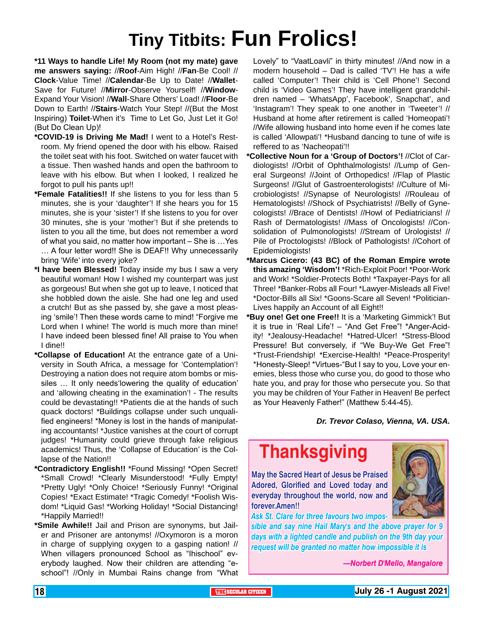# **Tiny Titbits: Fun Frolics!**

**\*11 Ways to handle Life! My Room (not my mate) gave me answers saying:** //**Roof**-Aim High! //**Fan**-Be Cool! // **Clock**-Value Time! //**Calendar**-Be Up to Date! //**Wallet**-Save for Future! //**Mirror**-Observe Yourself! //**Window**-Expand Your Vision! //**Wall**-Share Others' Load! //**Floor**-Be Down to Earth! //**Stairs**-Watch Your Step! //(But the Most Inspiring) **Toilet**-When it's Time to Let Go, Just Let it Go! (But Do Clean Up)!

- **\*COVID-19 is Driving Me Mad!** I went to a Hotel's Restroom. My friend opened the door with his elbow. Raised the toilet seat with his foot. Switched on water faucet with a tissue. Then washed hands and open the bathroom to leave with his elbow. But when I looked, I realized he forgot to pull his pants up!!
- **\*Female Fatalities!!** If she listens to you for less than 5 minutes, she is your 'daughter'! If she hears you for 15 minutes, she is your 'sister'! If she listens to you for over 30 minutes, she is your 'mother'! But if she pretends to listen to you all the time, but does not remember a word of what you said, no matter how important – She is …Yes … A four letter word!! She is DEAF!! Why unnecessarily bring 'Wife' into every joke?
- **\*I have been Blessed!** Today inside my bus I saw a very beautiful woman! How I wished my counterpart was just as gorgeous! But when she got up to leave, I noticed that she hobbled down the aisle. She had one leg and used a crutch! But as she passed by, she gave a most pleasing 'smile'! Then these words came to mind! "Forgive me Lord when I whine! The world is much more than mine! I have indeed been blessed fine! All praise to You when I dine!!
- **\*Collapse of Education!** At the entrance gate of a University in South Africa, a message for 'Contemplation'! Destroying a nation does not require atom bombs or missiles … It only needs'lowering the quality of education' and 'allowing cheating in the examination'! - The results could be devastating!! \*Patients die at the hands of such quack doctors! \*Buildings collapse under such unqualified engineers! \*Money is lost in the hands of manipulating accountants! \*Justice vanishes at the court of corrupt judges! \*Humanity could grieve through fake religious academics! Thus, the 'Collapse of Education' is the Collapse of the Nation!!
- **\*Contradictory English!!** \*Found Missing! \*Open Secret! \*Small Crowd! \*Clearly Misunderstood! \*Fully Empty! \*Pretty Ugly! \*Only Choice! \*Seriously Funny! \*Original Copies! \*Exact Estimate! \*Tragic Comedy! \*Foolish Wisdom! \*Liquid Gas! \*Working Holiday! \*Social Distancing! \*Happily Married!!
- **\*Smile Awhile!!** Jail and Prison are synonyms, but Jailer and Prisoner are antonyms! //Oxymoron is a moron in charge of supplying oxygen to a gasping nation! // When villagers pronounced School as "Ihischool" everybody laughed. Now their children are attending "eschool"! //Only in Mumbai Rains change from "What

Lovely" to "VaatLoavli" in thirty minutes! //And now in a modern household – Dad is called 'TV'! He has a wife called 'Computer'! Their child is 'Cell Phone'! Second child is 'Video Games'! They have intelligent grandchildren named – 'WhatsApp', Facebook', Snapchat', and 'Instagram'! They speak to one another in 'Tweeter'! // Husband at home after retirement is called 'Homeopati'! //Wife allowing husband into home even if he comes late is called 'Allowpati'! \*Husband dancing to tune of wife is reffered to as 'Nacheopati'!!

- **\*Collective Noun for a 'Group of Doctors'!** //Clot of Cardiologists! //Orbit of Ophthalmologists! //Lump of General Surgeons! //Joint of Orthopedics! //Flap of Plastic Surgeons! //Glut of Gastroenterologists! //Culture of Microbiologists! //Synapse of Neurologists! //Rouleau of Hematologists! //Shock of Psychiatrists! //Belly of Gynecologists! //Brace of Dentists! //Howl of Pediatricians! // Rash of Dermatologists! //Mass of Oncologists! //Consolidation of Pulmonologists! //Stream of Urologists! // Pile of Proctologists! //Block of Pathologists! //Cohort of Epidemiologists!
- **\*Marcus Cicero: (43 BC) of the Roman Empire wrote this amazing 'Wisdom'!** \*Rich-Exploit Poor! \*Poor-Work and Work! \*Soldier-Protects Both! \*Taxpayer-Pays for all Three! \*Banker-Robs all Four! \*Lawyer-Misleads all Five! \*Doctor-Bills all Six! \*Goons-Scare all Seven! \*Politician-Lives happily an Account of all Eight!!
- **\*Buy one! Get one Free!!** It is a 'Marketing Gimmick'! But it is true in 'Real Life'! – "And Get Free"! \*Anger-Acidity! \*Jealousy-Headache! \*Hatred-Ulcer! \*Stress-Blood Pressure! But conversely, if "We Buy-We Get Free"! \*Trust-Friendship! \*Exercise-Health! \*Peace-Prosperity! \*Honesty-Sleep! \*Virtues-"But I say to you, Love your enemies, bless those who curse you, do good to those who hate you, and pray for those who persecute you. So that you may be children of Your Father in Heaven! Be perfect as Your Heavenly Father!" (Matthew 5:44-45).

*Dr. Trevor Colaso, Vienna, VA. USA.*

### **Thanksgiving**

**May the Sacred Heart of Jesus be Praised Adored, Glorified and Loved today and everyday throughout the world, now and forever.Amen!!**



*Ask St. Clare for three favours two impos-*

*sible and say nine Hail Mary's and the above prayer for 9 days with a lighted candle and publish on the 9th day your request will be granted no matter how impossible it is*

*—Norbert D'Mello, Mangalore*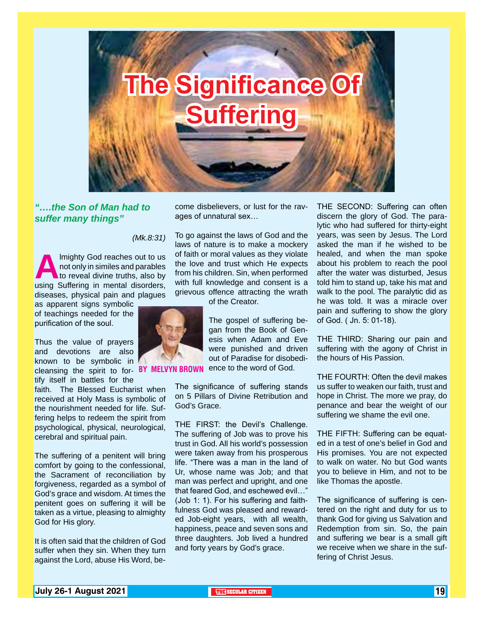

*"….the Son of Man had to suffer many things"*

 *(Mk.8:31)*

**Almighty God reaches out to us not only in similes and parables to reveal divine truths, also by using Suffering in mental disorders,** not only in similes and parables to reveal divine truths, also by diseases, physical pain and plagues

as apparent signs symbolic of teachings needed for the purification of the soul.

Thus the value of prayers and devotions are also known to be symbolic in cleansing the spirit to for- **BY MELVYN BR** tify itself in battles for the

faith. The Blessed Eucharist when received at Holy Mass is symbolic of the nourishment needed for life. Suffering helps to redeem the spirit from psychological, physical, neurological, cerebral and spiritual pain.

The suffering of a penitent will bring comfort by going to the confessional, the Sacrament of reconciliation by forgiveness, regarded as a symbol of God's grace and wisdom. At times the penitent goes on suffering it will be taken as a virtue, pleasing to almighty God for His glory.

It is often said that the children of God suffer when they sin. When they turn against the Lord, abuse His Word, become disbelievers, or lust for the ravages of unnatural sex…

To go against the laws of God and the laws of nature is to make a mockery of faith or moral values as they violate the love and trust which He expects from his children. Sin, when performed with full knowledge and consent is a grievous offence attracting the wrath of the Creator.



The gospel of suffering began from the Book of Genesis when Adam and Eve were punished and driven out of Paradise for disobedience to the word of God.

The significance of suffering stands on 5 Pillars of Divine Retribution and God's Grace.

THE FIRST: the Devil's Challenge. The suffering of Job was to prove his trust in God. All his world's possession were taken away from his prosperous life. "There was a man in the land of Ur, whose name was Job; and that man was perfect and upright, and one that feared God, and eschewed evil…" (Job 1: 1). For his suffering and faithfulness God was pleased and rewarded Job-eight years, with all wealth, happiness, peace and seven sons and three daughters. Job lived a hundred and forty years by God's grace.

THE SECOND: Suffering can often discern the glory of God. The paralytic who had suffered for thirty-eight years, was seen by Jesus. The Lord asked the man if he wished to be healed, and when the man spoke about his problem to reach the pool after the water was disturbed, Jesus told him to stand up, take his mat and walk to the pool. The paralytic did as he was told. It was a miracle over pain and suffering to show the glory of God. ( Jn. 5: 01-18).

THE THIRD: Sharing our pain and suffering with the agony of Christ in the hours of His Passion.

THE FOURTH: Often the devil makes us suffer to weaken our faith, trust and hope in Christ. The more we pray, do penance and bear the weight of our suffering we shame the evil one.

THE FIFTH: Suffering can be equated in a test of one's belief in God and His promises. You are not expected to walk on water. No but God wants you to believe in Him, and not to be like Thomas the apostle.

The significance of suffering is centered on the right and duty for us to thank God for giving us Salvation and Redemption from sin. So, the pain and suffering we bear is a small gift we receive when we share in the suffering of Christ Jesus.